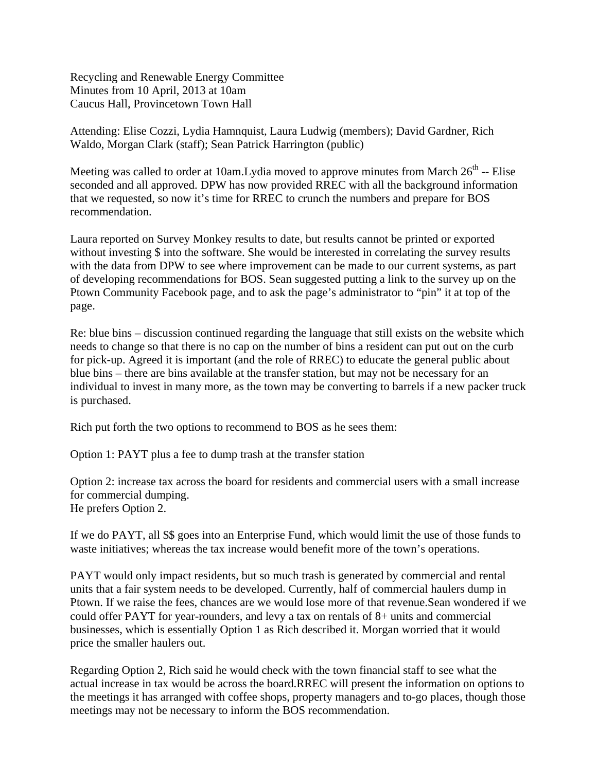Recycling and Renewable Energy Committee Minutes from 10 April, 2013 at 10am Caucus Hall, Provincetown Town Hall

Attending: Elise Cozzi, Lydia Hamnquist, Laura Ludwig (members); David Gardner, Rich Waldo, Morgan Clark (staff); Sean Patrick Harrington (public)

Meeting was called to order at 10am. Lydia moved to approve minutes from March  $26<sup>th</sup>$  -- Elise seconded and all approved. DPW has now provided RREC with all the background information that we requested, so now it's time for RREC to crunch the numbers and prepare for BOS recommendation.

Laura reported on Survey Monkey results to date, but results cannot be printed or exported without investing \$ into the software. She would be interested in correlating the survey results with the data from DPW to see where improvement can be made to our current systems, as part of developing recommendations for BOS. Sean suggested putting a link to the survey up on the Ptown Community Facebook page, and to ask the page's administrator to "pin" it at top of the page.

Re: blue bins – discussion continued regarding the language that still exists on the website which needs to change so that there is no cap on the number of bins a resident can put out on the curb for pick-up. Agreed it is important (and the role of RREC) to educate the general public about blue bins – there are bins available at the transfer station, but may not be necessary for an individual to invest in many more, as the town may be converting to barrels if a new packer truck is purchased.

Rich put forth the two options to recommend to BOS as he sees them:

Option 1: PAYT plus a fee to dump trash at the transfer station

Option 2: increase tax across the board for residents and commercial users with a small increase for commercial dumping. He prefers Option 2.

If we do PAYT, all \$\$ goes into an Enterprise Fund, which would limit the use of those funds to waste initiatives; whereas the tax increase would benefit more of the town's operations.

PAYT would only impact residents, but so much trash is generated by commercial and rental units that a fair system needs to be developed. Currently, half of commercial haulers dump in Ptown. If we raise the fees, chances are we would lose more of that revenue.Sean wondered if we could offer PAYT for year-rounders, and levy a tax on rentals of 8+ units and commercial businesses, which is essentially Option 1 as Rich described it. Morgan worried that it would price the smaller haulers out.

Regarding Option 2, Rich said he would check with the town financial staff to see what the actual increase in tax would be across the board.RREC will present the information on options to the meetings it has arranged with coffee shops, property managers and to-go places, though those meetings may not be necessary to inform the BOS recommendation.